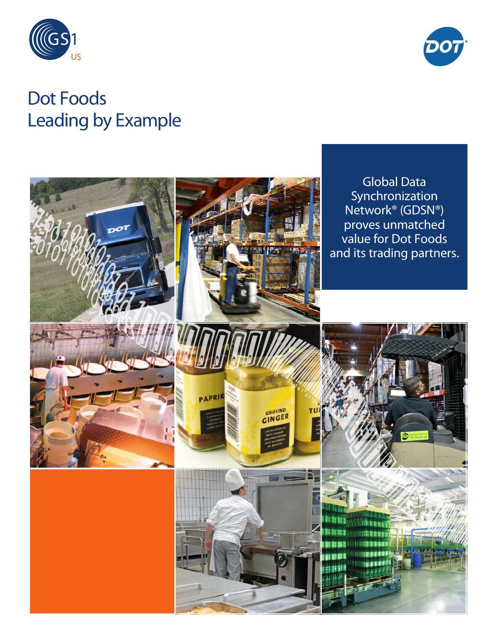



# Dot Foods Leading by Example

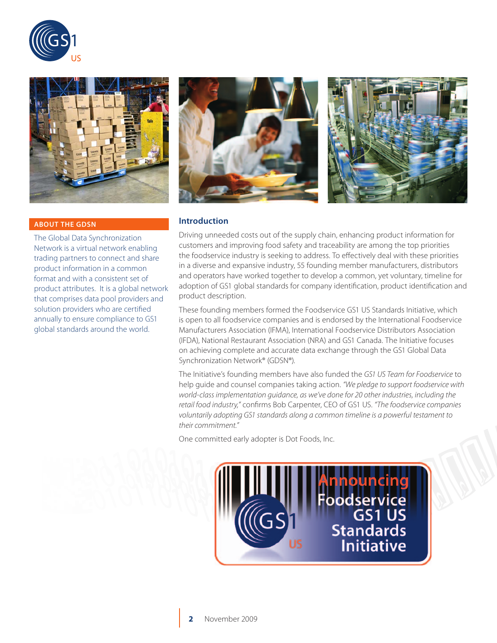



#### **ABOUT THE GDSN**

The Global Data Synchronization Network is a virtual network enabling trading partners to connect and share product information in a common format and with a consistent set of product attributes. It is a global network that comprises data pool providers and solution providers who are certified annually to ensure compliance to GS1 global standards around the world.





#### **Introduction**

Driving unneeded costs out of the supply chain, enhancing product information for customers and improving food safety and traceability are among the top priorities the foodservice industry is seeking to address. To effectively deal with these priorities in a diverse and expansive industry, 55 founding member manufacturers, distributors and operators have worked together to develop a common, yet voluntary, timeline for adoption of GS1 global standards for company identification, product identification and product description.

These founding members formed the Foodservice GS1 US Standards Initiative, which is open to all foodservice companies and is endorsed by the International Foodservice Manufacturers Association (IFMA), International Foodservice Distributors Association (IFDA), National Restaurant Association (NRA) and GS1 Canada. The Initiative focuses on achieving complete and accurate data exchange through the GS1 Global Data Synchronization Network® (GDSN®).

The Initiative's founding members have also funded the *GS1 US Team for Foodservice* to help guide and counsel companies taking action. *"We pledge to support foodservice with world-class implementation guidance, as we've done for 20 other industries, including the retail food industry,"* confirms Bob Carpenter, CEO of GS1 US. *"The foodservice companies voluntarily adopting GS1 standards along a common timeline is a powerful testament to their commitment."*

One committed early adopter is Dot Foods, Inc.

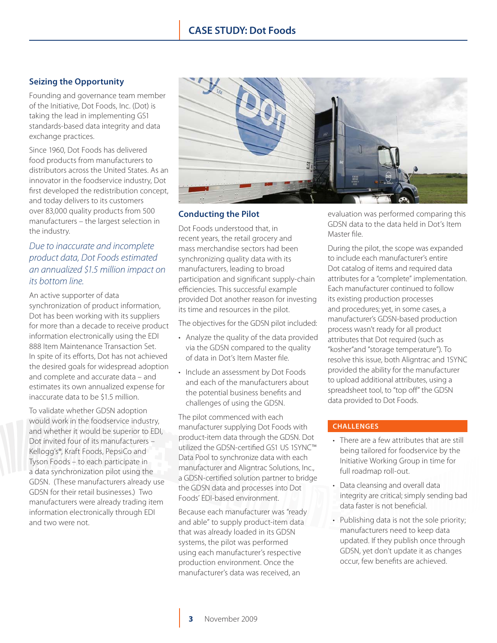# **Seizing the Opportunity**

Founding and governance team member of the Initiative, Dot Foods, Inc. (Dot) is taking the lead in implementing GS1 standards-based data integrity and data exchange practices.

Since 1960, Dot Foods has delivered food products from manufacturers to distributors across the United States. As an innovator in the foodservice industry, Dot first developed the redistribution concept, and today delivers to its customers over 83,000 quality products from 500 manufacturers – the largest selection in the industry.

# *Due to inaccurate and incomplete product data, Dot Foods estimated an annualized \$1.5 million impact on its bottom line.*

An active supporter of data synchronization of product information, Dot has been working with its suppliers for more than a decade to receive product information electronically using the EDI 888 Item Maintenance Transaction Set. In spite of its efforts, Dot has not achieved the desired goals for widespread adoption and complete and accurate data – and estimates its own annualized expense for inaccurate data to be \$1.5 million.

To validate whether GDSN adoption would work in the foodservice industry, and whether it would be superior to EDI, Dot invited four of its manufacturers – Kellogg's®, Kraft Foods, PepsiCo and Tyson Foods – to each participate in a data synchronization pilot using the GDSN. (These manufacturers already use GDSN for their retail businesses.) Two manufacturers were already trading item information electronically through EDI and two were not.



# **Conducting the Pilot**

Dot Foods understood that, in recent years, the retail grocery and mass merchandise sectors had been synchronizing quality data with its manufacturers, leading to broad participation and significant supply-chain efficiencies. This successful example provided Dot another reason for investing its time and resources in the pilot.

The objectives for the GDSN pilot included:

- Analyze the quality of the data provided via the GDSN compared to the quality of data in Dot's Item Master file.
- Include an assessment by Dot Foods and each of the manufacturers about the potential business benefits and challenges of using the GDSN.

The pilot commenced with each manufacturer supplying Dot Foods with product-item data through the GDSN. Dot utilized the GDSN-certified GS1 US 1SYNC™ Data Pool to synchronize data with each manufacturer and Aligntrac Solutions, Inc., a GDSN-certified solution partner to bridge the GDSN data and processes into Dot Foods' EDI-based environment.

Because each manufacturer was "ready and able" to supply product-item data that was already loaded in its GDSN systems, the pilot was performed using each manufacturer's respective production environment. Once the manufacturer's data was received, an

evaluation was performed comparing this GDSN data to the data held in Dot's Item Master file.

During the pilot, the scope was expanded to include each manufacturer's entire Dot catalog of items and required data attributes for a "complete" implementation. Each manufacturer continued to follow its existing production processes and procedures; yet, in some cases, a manufacturer's GDSN-based production process wasn't ready for all product attributes that Dot required (such as "kosher"and "storage temperature"). To resolve this issue, both Aligntrac and 1SYNC provided the ability for the manufacturer to upload additional attributes, using a spreadsheet tool, to "top off" the GDSN data provided to Dot Foods.

## **CHALLENGES**

- There are a few attributes that are still being tailored for foodservice by the Initiative Working Group in time for full roadmap roll-out.
- Data cleansing and overall data integrity are critical; simply sending bad data faster is not beneficial.
- Publishing data is not the sole priority; manufacturers need to keep data updated. If they publish once through GDSN, yet don't update it as changes occur, few benefits are achieved.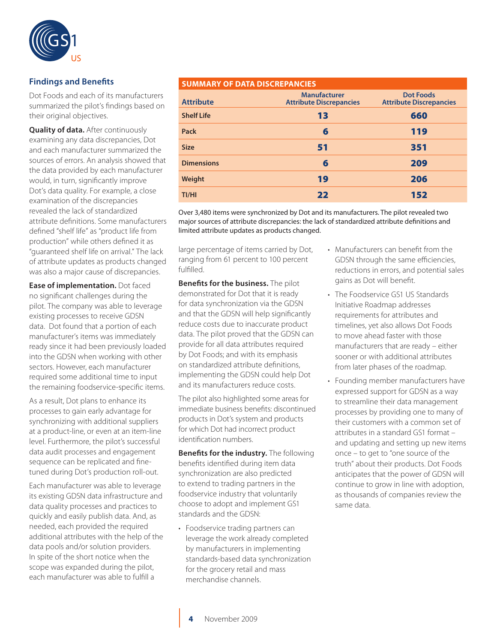

# **Findings and Benefits**

Dot Foods and each of its manufacturers summarized the pilot's findings based on their original objectives.

**Quality of data.** After continuously examining any data discrepancies, Dot and each manufacturer summarized the sources of errors. An analysis showed that the data provided by each manufacturer would, in turn, significantly improve Dot's data quality. For example, a close examination of the discrepancies revealed the lack of standardized attribute definitions. Some manufacturers defined "shelf life" as "product life from production" while others defined it as "guaranteed shelf life on arrival." The lack of attribute updates as products changed was also a major cause of discrepancies.

**Ease of implementation.** Dot faced no significant challenges during the pilot. The company was able to leverage existing processes to receive GDSN data. Dot found that a portion of each manufacturer's items was immediately ready since it had been previously loaded into the GDSN when working with other sectors. However, each manufacturer required some additional time to input the remaining foodservice-specific items.

As a result, Dot plans to enhance its processes to gain early advantage for synchronizing with additional suppliers at a product-line, or even at an item-line level. Furthermore, the pilot's successful data audit processes and engagement sequence can be replicated and finetuned during Dot's production roll-out.

Each manufacturer was able to leverage its existing GDSN data infrastructure and data quality processes and practices to quickly and easily publish data. And, as needed, each provided the required additional attributes with the help of the data pools and/or solution providers. In spite of the short notice when the scope was expanded during the pilot, each manufacturer was able to fulfill a

## **SUMMARY OF DATA DISCREPANCIES**

| <b>Attribute</b>  | <b>Manufacturer</b><br><b>Attribute Discrepancies</b> | <b>Dot Foods</b><br><b>Attribute Discrepancies</b> |
|-------------------|-------------------------------------------------------|----------------------------------------------------|
| <b>Shelf Life</b> | 13                                                    | 660                                                |
| Pack              | 6                                                     | 119                                                |
| <b>Size</b>       | 51                                                    | 351                                                |
| <b>Dimensions</b> | 6                                                     | 209                                                |
| Weight            | 19                                                    | 206                                                |
| TI/HI             | 22                                                    | 152                                                |

Over 3,480 items were synchronized by Dot and its manufacturers. The pilot revealed two major sources of attribute discrepancies: the lack of standardized attribute definitions and limited attribute updates as products changed.

large percentage of items carried by Dot, ranging from 61 percent to 100 percent fulfilled.

**Benefits for the business.** The pilot demonstrated for Dot that it is ready for data synchronization via the GDSN and that the GDSN will help significantly reduce costs due to inaccurate product data. The pilot proved that the GDSN can provide for all data attributes required by Dot Foods; and with its emphasis on standardized attribute definitions, implementing the GDSN could help Dot and its manufacturers reduce costs.

The pilot also highlighted some areas for immediate business benefits: discontinued products in Dot's system and products for which Dot had incorrect product identification numbers.

**Benefits for the industry.** The following benefits identified during item data synchronization are also predicted to extend to trading partners in the foodservice industry that voluntarily choose to adopt and implement GS1 standards and the GDSN:

• Foodservice trading partners can leverage the work already completed by manufacturers in implementing standards-based data synchronization for the grocery retail and mass merchandise channels.

- Manufacturers can benefit from the GDSN through the same efficiencies, reductions in errors, and potential sales gains as Dot will benefit.
- The Foodservice GS1 US Standards Initiative Roadmap addresses requirements for attributes and timelines, yet also allows Dot Foods to move ahead faster with those manufacturers that are ready – either sooner or with additional attributes from later phases of the roadmap.
- Founding member manufacturers have expressed support for GDSN as a way to streamline their data management processes by providing one to many of their customers with a common set of attributes in a standard GS1 format – and updating and setting up new items once – to get to "one source of the truth" about their products. Dot Foods anticipates that the power of GDSN will continue to grow in line with adoption, as thousands of companies review the same data.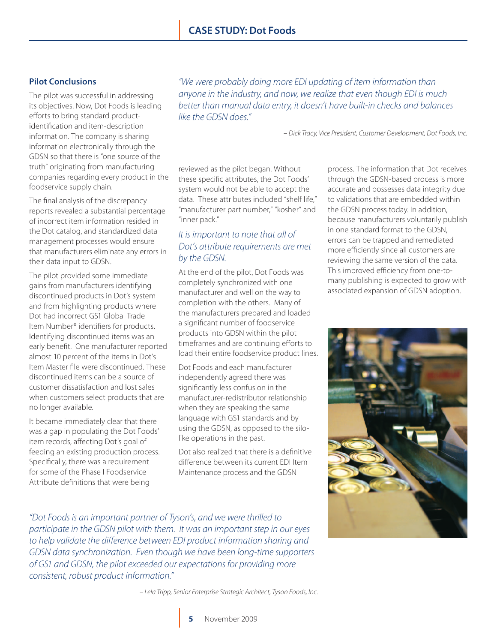# **Pilot Conclusions**

The pilot was successful in addressing its objectives. Now, Dot Foods is leading efforts to bring standard productidentification and item-description information. The company is sharing information electronically through the GDSN so that there is "one source of the truth" originating from manufacturing companies regarding every product in the foodservice supply chain.

The final analysis of the discrepancy reports revealed a substantial percentage of incorrect item information resided in the Dot catalog, and standardized data management processes would ensure that manufacturers eliminate any errors in their data input to GDSN.

The pilot provided some immediate gains from manufacturers identifying discontinued products in Dot's system and from highlighting products where Dot had incorrect GS1 Global Trade Item Number® identifiers for products. Identifying discontinued items was an early benefit. One manufacturer reported almost 10 percent of the items in Dot's Item Master file were discontinued. These discontinued items can be a source of customer dissatisfaction and lost sales when customers select products that are no longer available.

It became immediately clear that there was a gap in populating the Dot Foods' item records, affecting Dot's goal of feeding an existing production process. Specifically, there was a requirement for some of the Phase I Foodservice Attribute definitions that were being

*"We were probably doing more EDI updating of item information than anyone in the industry, and now, we realize that even though EDI is much better than manual data entry, it doesn't have built-in checks and balances like the GDSN does."* 

*– Dick Tracy, Vice President, Customer Development, Dot Foods, Inc.*

reviewed as the pilot began. Without these specific attributes, the Dot Foods' system would not be able to accept the data. These attributes included "shelf life," "manufacturer part number," "kosher" and "inner pack."

# *It is important to note that all of Dot's attribute requirements are met by the GDSN.*

At the end of the pilot, Dot Foods was completely synchronized with one manufacturer and well on the way to completion with the others. Many of the manufacturers prepared and loaded a significant number of foodservice products into GDSN within the pilot timeframes and are continuing efforts to load their entire foodservice product lines.

Dot Foods and each manufacturer independently agreed there was significantly less confusion in the manufacturer-redistributor relationship when they are speaking the same language with GS1 standards and by using the GDSN, as opposed to the silolike operations in the past.

Dot also realized that there is a definitive difference between its current EDI Item Maintenance process and the GDSN

*"Dot Foods is an important partner of Tyson's, and we were thrilled to participate in the GDSN pilot with them. It was an important step in our eyes to help validate the difference between EDI product information sharing and GDSN data synchronization. Even though we have been long-time supporters of GS1 and GDSN, the pilot exceeded our expectations for providing more consistent, robust product information."*

process. The information that Dot receives through the GDSN-based process is more accurate and possesses data integrity due to validations that are embedded within the GDSN process today. In addition, because manufacturers voluntarily publish in one standard format to the GDSN, errors can be trapped and remediated more efficiently since all customers are reviewing the same version of the data. This improved efficiency from one-tomany publishing is expected to grow with associated expansion of GDSN adoption.



*– Lela Tripp, Senior Enterprise Strategic Architect, Tyson Foods, Inc.*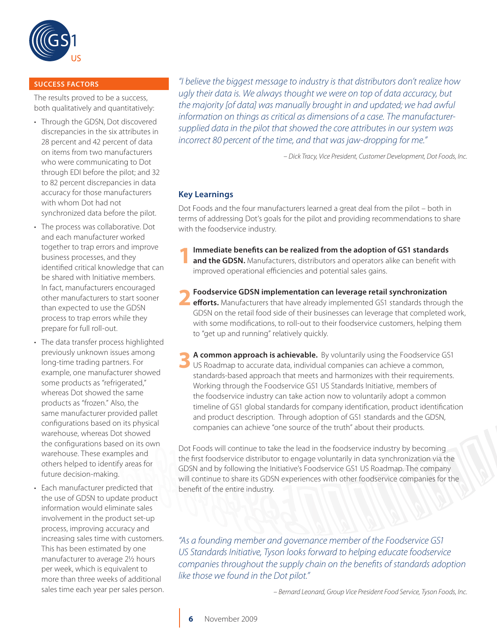

## **SUCCESS FACTORS**

The results proved to be a success, both qualitatively and quantitatively:

- Through the GDSN, Dot discovered discrepancies in the six attributes in 28 percent and 42 percent of data on items from two manufacturers who were communicating to Dot through EDI before the pilot; and 32 to 82 percent discrepancies in data accuracy for those manufacturers with whom Dot had not synchronized data before the pilot.
- The process was collaborative. Dot and each manufacturer worked together to trap errors and improve business processes, and they identified critical knowledge that can be shared with Initiative members. In fact, manufacturers encouraged other manufacturers to start sooner than expected to use the GDSN process to trap errors while they prepare for full roll-out.
- The data transfer process highlighted previously unknown issues among long-time trading partners. For example, one manufacturer showed some products as "refrigerated," whereas Dot showed the same products as "frozen." Also, the same manufacturer provided pallet configurations based on its physical warehouse, whereas Dot showed the configurations based on its own warehouse. These examples and others helped to identify areas for future decision-making.
- Each manufacturer predicted that the use of GDSN to update product information would eliminate sales involvement in the product set-up process, improving accuracy and increasing sales time with customers. This has been estimated by one manufacturer to average 2½ hours per week, which is equivalent to more than three weeks of additional sales time each year per sales person.

*"I believe the biggest message to industry is that distributors don't realize how ugly their data is. We always thought we were on top of data accuracy, but the majority [of data] was manually brought in and updated; we had awful information on things as critical as dimensions of a case. The manufacturersupplied data in the pilot that showed the core attributes in our system was incorrect 80 percent of the time, and that was jaw-dropping for me."*

*– Dick Tracy, Vice President, Customer Development, Dot Foods, Inc.*

# **Key Learnings**

Dot Foods and the four manufacturers learned a great deal from the pilot – both in terms of addressing Dot's goals for the pilot and providing recommendations to share with the foodservice industry.

- **1Immediate benefits can be realized from the adoption of GS1 standards and the GDSN.** Manufacturers, distributors and operators alike can benefit with improved operational efficiencies and potential sales gains.
- **2Foodservice GDSN implementation can leverage retail synchronization efforts.** Manufacturers that have already implemented GS1 standards through the GDSN on the retail food side of their businesses can leverage that completed work, with some modifications, to roll-out to their foodservice customers, helping them to "get up and running" relatively quickly.
- **3 <sup>A</sup> common approach is achievable.** By voluntarily using the Foodservice GS1 US Roadmap to accurate data, individual companies can achieve a common, standards-based approach that meets and harmonizes with their requirements. Working through the Foodservice GS1 US Standards Initiative, members of the foodservice industry can take action now to voluntarily adopt a common timeline of GS1 global standards for company identification, product identification and product description. Through adoption of GS1 standards and the GDSN, companies can achieve "one source of the truth" about their products.

Dot Foods will continue to take the lead in the foodservice industry by becoming the first foodservice distributor to engage voluntarily in data synchronization via the GDSN and by following the Initiative's Foodservice GS1 US Roadmap. The company will continue to share its GDSN experiences with other foodservice companies for the benefit of the entire industry.

*"As a founding member and governance member of the Foodservice GS1 US Standards Initiative, Tyson looks forward to helping educate foodservice companies throughout the supply chain on the benefits of standards adoption like those we found in the Dot pilot."* 

*– Bernard Leonard, Group Vice President Food Service, Tyson Foods, Inc.*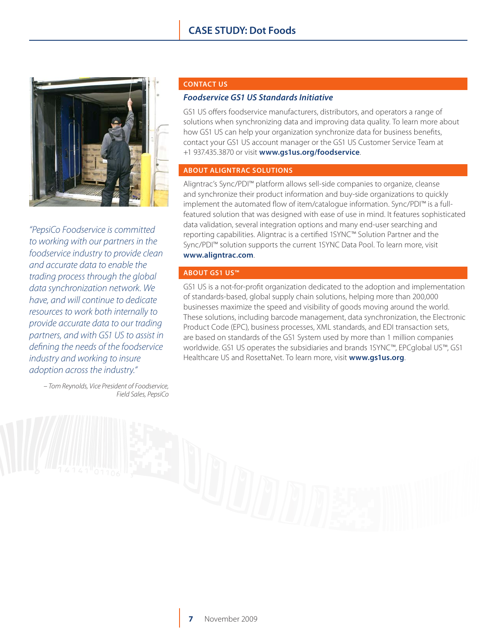

*"PepsiCo Foodservice is committed to working with our partners in the foodservice industry to provide clean and accurate data to enable the trading process through the global data synchronization network. We have, and will continue to dedicate resources to work both internally to provide accurate data to our trading partners, and with GS1 US to assist in defining the needs of the foodservice industry and working to insure adoption across the industry."*

> *– Tom Reynolds, Vice President of Foodservice, Field Sales, PepsiCo*

#### **CONTACT US**

## *Foodservice GS1 US Standards Initiative*

GS1 US offers foodservice manufacturers, distributors, and operators a range of solutions when synchronizing data and improving data quality. To learn more about how GS1 US can help your organization synchronize data for business benefits, contact your GS1 US account manager or the GS1 US Customer Service Team at +1 937.435.3870 or visit **[www.gs1us.org/foodservice](http://www.gs1us.org/foodservice)**.

## **ABOUT ALIGNTRAC SOLUTIONS**

Aligntrac's Sync/PDI™ platform allows sell-side companies to organize, cleanse and synchronize their product information and buy-side organizations to quickly implement the automated flow of item/catalogue information. Sync/PDI™ is a fullfeatured solution that was designed with ease of use in mind. It features sophisticated data validation, several integration options and many end-user searching and reporting capabilities. Aligntrac is a certified 1SYNC™ Solution Partner and the Sync/PDI<sup>™</sup> solution supports the current 1SYNC Data Pool. To learn more, visit **<www.aligntrac.com>**.

#### **ABOUT GS1 US™**

GS1 US is a not-for-profit organization dedicated to the adoption and implementation of standards-based, global supply chain solutions, helping more than 200,000 businesses maximize the speed and visibility of goods moving around the world. These solutions, including barcode management, data synchronization, the Electronic Product Code (EPC), business processes, XML standards, and EDI transaction sets, are based on standards of the GS1 System used by more than 1 million companies worldwide. GS1 US operates the subsidiaries and brands 1SYNC™, EPCglobal US™, GS1 Healthcare US and RosettaNet. To learn more, visit **[www.gs1us.org](http://www.gs1us.org)**.